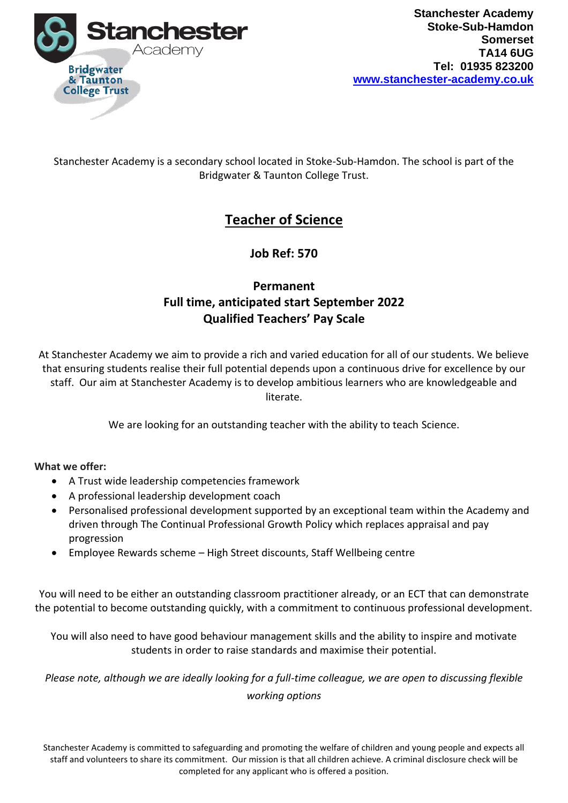

### Stanchester Academy is a secondary school located in Stoke-Sub-Hamdon. The school is part of the Bridgwater & Taunton College Trust.

# **Teacher of Science**

**Job Ref: 570**

## **Permanent Full time, anticipated start September 2022 Qualified Teachers' Pay Scale**

At Stanchester Academy we aim to provide a rich and varied education for all of our students. We believe that ensuring students realise their full potential depends upon a continuous drive for excellence by our staff. Our aim at Stanchester Academy is to develop ambitious learners who are knowledgeable and literate.

We are looking for an outstanding teacher with the ability to teach Science.

#### **What we offer:**

- A Trust wide leadership competencies framework
- A professional leadership development coach
- Personalised professional development supported by an exceptional team within the Academy and driven through The Continual Professional Growth Policy which replaces appraisal and pay progression
- Employee Rewards scheme High Street discounts, Staff Wellbeing centre

You will need to be either an outstanding classroom practitioner already, or an ECT that can demonstrate the potential to become outstanding quickly, with a commitment to continuous professional development.

You will also need to have good behaviour management skills and the ability to inspire and motivate students in order to raise standards and maximise their potential.

*Please note, although we are ideally looking for a full-time colleague, we are open to discussing flexible working options*

Stanchester Academy is committed to safeguarding and promoting the welfare of children and young people and expects all staff and volunteers to share its commitment. Our mission is that all children achieve. A criminal disclosure check will be completed for any applicant who is offered a position.